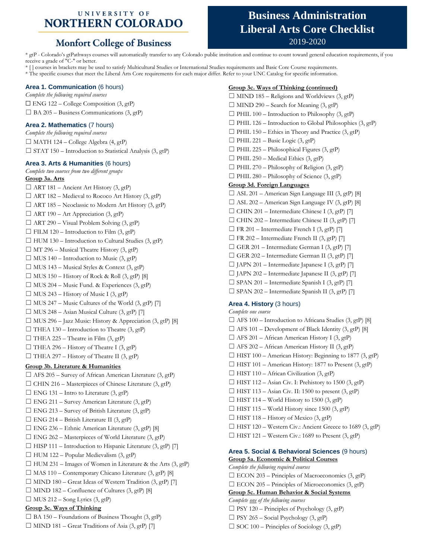### UNIVERSITY OF **NORTHERN COLORADO**

## **Monfort College of Business**

# **Business Administration Liberal Arts Core Checklist** 2019-2020

\* gtP - Colorado's gtPathways courses will automatically transfer to any Colorado public institution and continue to count toward general education requirements, if you receive a grade of "C-" or better.

\* [ ] courses in brackets may be used to satisfy Multicultural Studies or International Studies requirements and Basic Core Course requirements.

\* The specific courses that meet the Liberal Arts Core requirements for each major differ. Refer to your UNC Catalog for specific information.

#### **Area 1. Communication** (6 hours)

*Complete the following required courses*  $\Box$  ENG 122 – College Composition (3, gtP)  $\Box$  BA 205 – Business Communications (3, gtP)

#### **Area 2. Mathematics** (7 hours)

*Complete the following required courses*  $\Box$  MATH 124 – College Algebra (4, gtP)  $\Box$  STAT 150 – Introduction to Statistical Analysis (3, gtP)

#### **Area 3. Arts & Humanities** (6 hours)

*Complete two courses from two different groups*

**Group 3a. Arts**  $\Box$  ART 181 – Ancient Art History (3, gtP)  $\Box$  ART 182 – Medieval to Rococo Art History (3, gtP)  $\Box$  ART 185 – Neoclassic to Modern Art History (3, gtP)  $\Box$  ART 190 – Art Appreciation (3, gtP)  $\Box$  ART 290 – Visual Problem Solving (3, gtP)  $\Box$  FILM 120 – Introduction to Film (3, gtP)  $\Box$  HUM 130 – Introduction to Cultural Studies (3, gtP)  $\Box$  MT 296 – Musical Theatre History (3, gtP)  $\Box$  MUS 140 – Introduction to Music (3, gtP)  $\Box$  MUS 143 – Musical Styles & Context (3, gtP)  $\Box$  MUS 150 – History of Rock & Roll (3, gtP) [8]  $\Box$  MUS 204 – Music Fund. & Experiences (3, gtP)  $\Box$  MUS 243 – History of Music I (3, gtP)  $\Box$  MUS 247 – Music Cultures of the World (3, gtP) [7]  $\Box$  MUS 248 – Asian Musical Culture (3, gtP) [7]  $\Box$  MUS 296 – Jazz Music: History & Appreciation (3, gtP) [8]  $\Box$  THEA 130 – Introduction to Theatre (3, gtP)  $\Box$  THEA 225 – Theatre in Film (3, gtP)  $\Box$  THEA 296 – History of Theatre I (3, gtP)  $\Box$  THEA 297 – History of Theatre II (3, gtP) **Group 3b. Literature & Humanities**

☐ AFS 205 – Survey of African American Literature (3, gtP)  $\Box$  CHIN 216 – Masterpieces of Chinese Literature (3, gtP)  $\Box$  ENG 131 – Intro to Literature (3, gtP) ☐ ENG 211 – Survey American Literature (3, gtP)  $\Box$  ENG 213 – Survey of British Literature (3, gtP)  $\Box$  ENG 214 – British Literature II (3, gtP)  $\Box$  ENG 236 – Ethnic American Literature (3, gtP) [8]  $\Box$  ENG 262 – Masterpieces of World Literature (3, gtP)  $\Box$  HISP 111 – Introduction to Hispanic Literature (3, gtP) [7]  $\Box$  HUM 122 – Popular Medievalism (3, gtP)  $\Box$  HUM 231 – Images of Women in Literature & the Arts (3, gtP)  $\Box$  MAS 110 – Contemporary Chicano Literature (3, gtP) [8]  $\Box$  MIND 180 – Great Ideas of Western Tradition (3, gtP) [7]  $\Box$  MIND 182 – Confluence of Cultures (3, gtP) [8]  $\Box$  MUS 212 – Song Lyrics (3, gtP) **Group 3c. Ways of Thinking**  $\Box$  BA 150 – Foundations of Business Thought (3, gtP)  $\Box$  MIND 181 – Great Traditions of Asia (3, gtP) [7]

**Group 3c. Ways of Thinking (continued)**

 $\Box$  MIND 185 – Religions and Worldviews (3, gtP)  $\Box$  MIND 290 – Search for Meaning (3, gtP)  $\Box$  PHIL 100 – Introduction to Philosophy (3, gtP)  $\Box$  PHIL 126 – Introduction to Global Philosophies (3, gtP)  $\Box$  PHIL 150 – Ethics in Theory and Practice (3, gtP)  $\Box$  PHIL 221 – Basic Logic (3, gtP)  $\Box$  PHIL 225 – Philosophical Figures (3, gtP)  $\Box$  PHIL 250 – Medical Ethics (3, gtP)  $\Box$  PHIL 270 – Philosophy of Religion (3, gtP)  $\Box$  PHIL 280 – Philosophy of Science (3, gtP) **Group 3d. Foreign Languages**  $\Box$  ASL 201 – American Sign Language III (3, gtP) [8]  $\Box$  ASL 202 – American Sign Language IV (3, gtP) [8]  $\Box$  CHIN 201 – Intermediate Chinese I (3, gtP) [7]  $\Box$  CHIN 202 – Intermediate Chinese II (3, gtP) [7]  $\Box$  FR 201 – Intermediate French I (3, gtP) [7]  $\Box$  FR 202 – Intermediate French II (3, gtP) [7]  $\Box$  GER 201 – Intermediate German I (3, gtP) [7]  $\Box$  GER 202 – Intermediate German II (3, gtP) [7]  $\Box$  JAPN 201 – Intermediate Japanese I (3, gtP) [7] ☐ JAPN 202 – Intermediate Japanese II (3, gtP) [7]  $\Box$  SPAN 201 – Intermediate Spanish I (3, gtP) [7] ☐ SPAN 202 – Intermediate Spanish II (3, gtP) [7] **Area 4. History** (3 hours) *Complete one course*  $\Box$  AFS 100 – Introduction to Africana Studies (3, gtP) [8]  $\Box$  AFS 101 – Development of Black Identity (3, gtP) [8]  $\Box$  AFS 201 – African American History I (3, gtP)  $\Box$  AFS 202 – African American History II (3, gtP) ☐ HIST 100 – American History: Beginning to 1877 (3, gtP)

- $\Box$  HIST 101 American History: 1877 to Present (3, gtP)
- $\Box$  HIST 110 African Civilization (3, gtP)
- $\Box$  HIST 112 Asian Civ. I: Prehistory to 1500 (3, gtP)
- $\Box$  HIST 113 Asian Civ. II: 1500 to present (3, gtP)
- $\Box$  HIST 114 World History to 1500 (3, gtP)
- $\Box$  HIST 115 World History since 1500 (3, gtP)
- $\Box$  HIST 118 History of Mexico (3, gtP)
- $\Box$  HIST 120 Western Civ.: Ancient Greece to 1689 (3, gtP)
- $\Box$  HIST 121 Western Civ.: 1689 to Present (3, gtP)

#### **Area 5. Social & Behavioral Sciences** (9 hours) **Group 5a. Economic & Political Courses**

*Complete the following required courses*  $\square$  ECON 203 – Principles of Macroeconomics (3, gtP)  $\Box$  ECON 205 – Principles of Microeconomics (3, gtP) **Group 5c. Human Behavior & Social Systems** *Complete one of the following courses*  $\Box$  PSY 120 – Principles of Psychology (3, gtP)  $\Box$  PSY 265 – Social Psychology (3, gtP)  $\Box$  SOC 100 – Principles of Sociology (3, gtP)